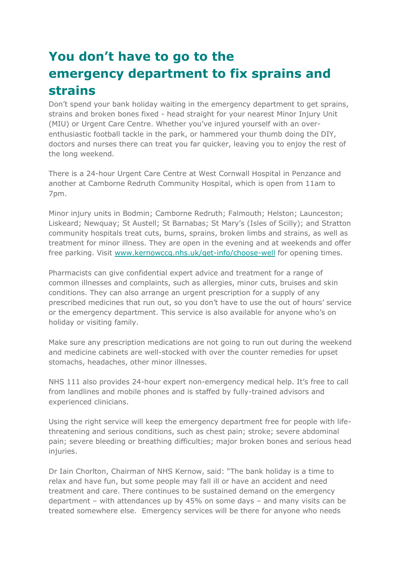## **You don't have to go to the emergency department to fix sprains and strains**

Don't spend your bank holiday waiting in the emergency department to get sprains, strains and broken bones fixed - head straight for your nearest Minor Injury Unit (MIU) or Urgent Care Centre. Whether you've injured yourself with an overenthusiastic football tackle in the park, or hammered your thumb doing the DIY, doctors and nurses there can treat you far quicker, leaving you to enjoy the rest of the long weekend.

There is a 24-hour Urgent Care Centre at West Cornwall Hospital in Penzance and another at Camborne Redruth Community Hospital, which is open from 11am to 7pm.

Minor injury units in Bodmin; Camborne Redruth; Falmouth; Helston; Launceston; Liskeard; Newquay; St Austell; St Barnabas; St Mary's (Isles of Scilly); and Stratton community hospitals treat cuts, burns, sprains, broken limbs and strains, as well as treatment for minor illness. They are open in the evening and at weekends and offer free parking. Visit [www.kernowccg.nhs.uk/get-info/choose-well](http://cornwall.us10.list-manage.com/track/click?u=8b22106188babc3bc72a50b07&id=1175b1b5fb&e=9d7d886a32) for opening times.

Pharmacists can give confidential expert advice and treatment for a range of common illnesses and complaints, such as allergies, minor cuts, bruises and skin conditions. They can also arrange an urgent prescription for a supply of any prescribed medicines that run out, so you don't have to use the out of hours' service or the emergency department. This service is also available for anyone who's on holiday or visiting family.

Make sure any prescription medications are not going to run out during the weekend and medicine cabinets are well-stocked with over the counter remedies for upset stomachs, headaches, other minor illnesses.

NHS 111 also provides 24-hour expert non-emergency medical help. It's free to call from landlines and mobile phones and is staffed by fully-trained advisors and experienced clinicians.

Using the right service will keep the emergency department free for people with lifethreatening and serious conditions, such as chest pain; stroke; severe abdominal pain; severe bleeding or breathing difficulties; major broken bones and serious head injuries.

Dr Iain Chorlton, Chairman of NHS Kernow, said: "The bank holiday is a time to relax and have fun, but some people may fall ill or have an accident and need treatment and care. There continues to be sustained demand on the emergency department – with attendances up by 45% on some days – and many visits can be treated somewhere else. Emergency services will be there for anyone who needs